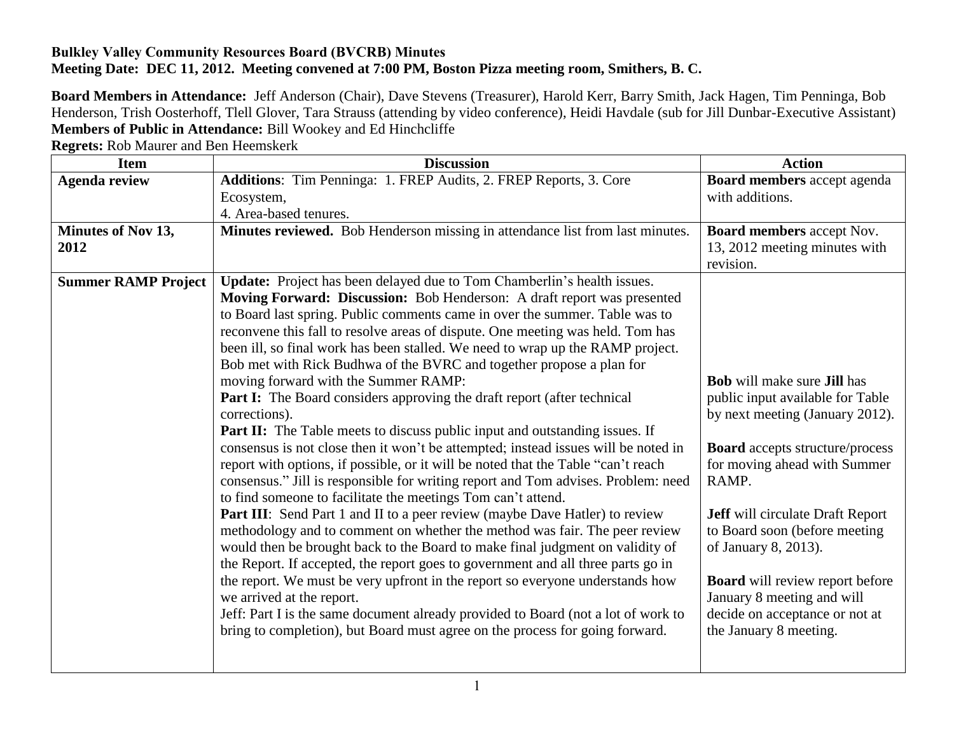## **Bulkley Valley Community Resources Board (BVCRB) Minutes Meeting Date: DEC 11, 2012. Meeting convened at 7:00 PM, Boston Pizza meeting room, Smithers, B. C.**

**Board Members in Attendance:** Jeff Anderson (Chair), Dave Stevens (Treasurer), Harold Kerr, Barry Smith, Jack Hagen, Tim Penninga, Bob Henderson, Trish Oosterhoff, Tlell Glover, Tara Strauss (attending by video conference), Heidi Havdale (sub for Jill Dunbar-Executive Assistant) **Members of Public in Attendance:** Bill Wookey and Ed Hinchcliffe

| <b>Item</b>                | <b>Discussion</b>                                                                  | <b>Action</b>                             |
|----------------------------|------------------------------------------------------------------------------------|-------------------------------------------|
| <b>Agenda review</b>       | Additions: Tim Penninga: 1. FREP Audits, 2. FREP Reports, 3. Core                  | Board members accept agenda               |
|                            | Ecosystem,                                                                         | with additions.                           |
|                            | 4. Area-based tenures.                                                             |                                           |
| Minutes of Nov 13,         | Minutes reviewed. Bob Henderson missing in attendance list from last minutes.      | <b>Board members accept Nov.</b>          |
| 2012                       |                                                                                    | 13, 2012 meeting minutes with             |
|                            |                                                                                    | revision.                                 |
| <b>Summer RAMP Project</b> | Update: Project has been delayed due to Tom Chamberlin's health issues.            |                                           |
|                            | Moving Forward: Discussion: Bob Henderson: A draft report was presented            |                                           |
|                            | to Board last spring. Public comments came in over the summer. Table was to        |                                           |
|                            | reconvene this fall to resolve areas of dispute. One meeting was held. Tom has     |                                           |
|                            | been ill, so final work has been stalled. We need to wrap up the RAMP project.     |                                           |
|                            | Bob met with Rick Budhwa of the BVRC and together propose a plan for               |                                           |
|                            | moving forward with the Summer RAMP:                                               | <b>Bob</b> will make sure <b>Jill</b> has |
|                            | <b>Part I:</b> The Board considers approving the draft report (after technical     | public input available for Table          |
|                            | corrections).                                                                      | by next meeting (January 2012).           |
|                            | <b>Part II:</b> The Table meets to discuss public input and outstanding issues. If |                                           |
|                            | consensus is not close then it won't be attempted; instead issues will be noted in | <b>Board</b> accepts structure/process    |
|                            | report with options, if possible, or it will be noted that the Table "can't reach  | for moving ahead with Summer              |
|                            | consensus." Jill is responsible for writing report and Tom advises. Problem: need  | RAMP.                                     |
|                            | to find someone to facilitate the meetings Tom can't attend.                       |                                           |
|                            | <b>Part III:</b> Send Part 1 and II to a peer review (maybe Dave Hatler) to review | <b>Jeff</b> will circulate Draft Report   |
|                            | methodology and to comment on whether the method was fair. The peer review         | to Board soon (before meeting             |
|                            | would then be brought back to the Board to make final judgment on validity of      | of January 8, 2013).                      |
|                            | the Report. If accepted, the report goes to government and all three parts go in   |                                           |
|                            | the report. We must be very upfront in the report so everyone understands how      | <b>Board</b> will review report before    |
|                            | we arrived at the report.                                                          | January 8 meeting and will                |
|                            | Jeff: Part I is the same document already provided to Board (not a lot of work to  | decide on acceptance or not at            |
|                            | bring to completion), but Board must agree on the process for going forward.       | the January 8 meeting.                    |
|                            |                                                                                    |                                           |

**Regrets:** Rob Maurer and Ben Heemskerk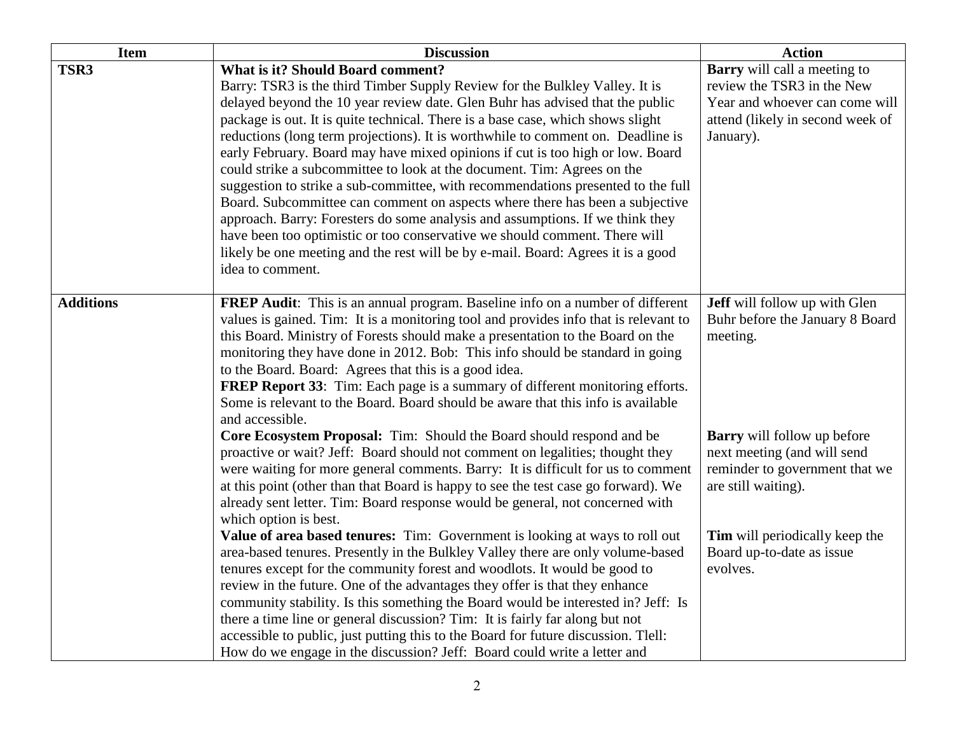| <b>Item</b>      | <b>Discussion</b>                                                                                                                                                                                                                                                                                                                                                                                                                                                                                                                                                                                                                                                                                                                                                                                | <b>Action</b>                                                                                                                                        |
|------------------|--------------------------------------------------------------------------------------------------------------------------------------------------------------------------------------------------------------------------------------------------------------------------------------------------------------------------------------------------------------------------------------------------------------------------------------------------------------------------------------------------------------------------------------------------------------------------------------------------------------------------------------------------------------------------------------------------------------------------------------------------------------------------------------------------|------------------------------------------------------------------------------------------------------------------------------------------------------|
| TSR3             | <b>What is it? Should Board comment?</b><br>Barry: TSR3 is the third Timber Supply Review for the Bulkley Valley. It is<br>delayed beyond the 10 year review date. Glen Buhr has advised that the public<br>package is out. It is quite technical. There is a base case, which shows slight<br>reductions (long term projections). It is worthwhile to comment on. Deadline is<br>early February. Board may have mixed opinions if cut is too high or low. Board<br>could strike a subcommittee to look at the document. Tim: Agrees on the<br>suggestion to strike a sub-committee, with recommendations presented to the full<br>Board. Subcommittee can comment on aspects where there has been a subjective<br>approach. Barry: Foresters do some analysis and assumptions. If we think they | <b>Barry</b> will call a meeting to<br>review the TSR3 in the New<br>Year and whoever can come will<br>attend (likely in second week of<br>January). |
|                  | have been too optimistic or too conservative we should comment. There will<br>likely be one meeting and the rest will be by e-mail. Board: Agrees it is a good<br>idea to comment.                                                                                                                                                                                                                                                                                                                                                                                                                                                                                                                                                                                                               |                                                                                                                                                      |
| <b>Additions</b> | <b>FREP Audit:</b> This is an annual program. Baseline info on a number of different<br>values is gained. Tim: It is a monitoring tool and provides info that is relevant to<br>this Board. Ministry of Forests should make a presentation to the Board on the<br>monitoring they have done in 2012. Bob: This info should be standard in going<br>to the Board. Board: Agrees that this is a good idea.<br><b>FREP Report 33:</b> Tim: Each page is a summary of different monitoring efforts.<br>Some is relevant to the Board. Board should be aware that this info is available<br>and accessible.                                                                                                                                                                                           | Jeff will follow up with Glen<br>Buhr before the January 8 Board<br>meeting.                                                                         |
|                  | Core Ecosystem Proposal: Tim: Should the Board should respond and be<br>proactive or wait? Jeff: Board should not comment on legalities; thought they<br>were waiting for more general comments. Barry: It is difficult for us to comment<br>at this point (other than that Board is happy to see the test case go forward). We<br>already sent letter. Tim: Board response would be general, not concerned with<br>which option is best.                                                                                                                                                                                                                                                                                                                                                        | <b>Barry</b> will follow up before<br>next meeting (and will send<br>reminder to government that we<br>are still waiting).                           |
|                  | Value of area based tenures: Tim: Government is looking at ways to roll out<br>area-based tenures. Presently in the Bulkley Valley there are only volume-based<br>tenures except for the community forest and woodlots. It would be good to<br>review in the future. One of the advantages they offer is that they enhance<br>community stability. Is this something the Board would be interested in? Jeff: Is<br>there a time line or general discussion? Tim: It is fairly far along but not<br>accessible to public, just putting this to the Board for future discussion. Tlell:<br>How do we engage in the discussion? Jeff: Board could write a letter and                                                                                                                                | Tim will periodically keep the<br>Board up-to-date as issue<br>evolves.                                                                              |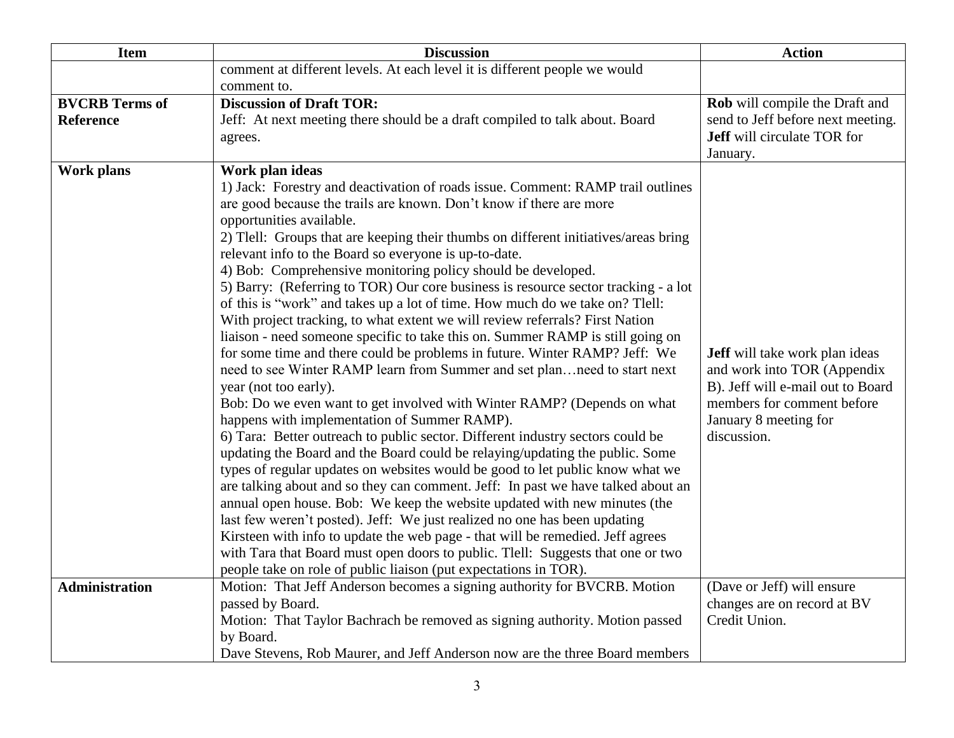| <b>Item</b>           | <b>Discussion</b>                                                                                                                                              | <b>Action</b>                         |
|-----------------------|----------------------------------------------------------------------------------------------------------------------------------------------------------------|---------------------------------------|
|                       | comment at different levels. At each level it is different people we would                                                                                     |                                       |
|                       | comment to.                                                                                                                                                    |                                       |
| <b>BVCRB</b> Terms of | <b>Discussion of Draft TOR:</b>                                                                                                                                | Rob will compile the Draft and        |
| <b>Reference</b>      | Jeff: At next meeting there should be a draft compiled to talk about. Board                                                                                    | send to Jeff before next meeting.     |
|                       | agrees.                                                                                                                                                        | <b>Jeff</b> will circulate TOR for    |
| <b>Work plans</b>     | Work plan ideas                                                                                                                                                | January.                              |
|                       | 1) Jack: Forestry and deactivation of roads issue. Comment: RAMP trail outlines                                                                                |                                       |
|                       | are good because the trails are known. Don't know if there are more                                                                                            |                                       |
|                       | opportunities available.                                                                                                                                       |                                       |
|                       | 2) Tlell: Groups that are keeping their thumbs on different initiatives/areas bring                                                                            |                                       |
|                       | relevant info to the Board so everyone is up-to-date.                                                                                                          |                                       |
|                       | 4) Bob: Comprehensive monitoring policy should be developed.                                                                                                   |                                       |
|                       | 5) Barry: (Referring to TOR) Our core business is resource sector tracking - a lot                                                                             |                                       |
|                       | of this is "work" and takes up a lot of time. How much do we take on? Tlell:                                                                                   |                                       |
|                       | With project tracking, to what extent we will review referrals? First Nation                                                                                   |                                       |
|                       | liaison - need someone specific to take this on. Summer RAMP is still going on                                                                                 |                                       |
|                       | for some time and there could be problems in future. Winter RAMP? Jeff: We                                                                                     | <b>Jeff</b> will take work plan ideas |
|                       | need to see Winter RAMP learn from Summer and set planneed to start next                                                                                       | and work into TOR (Appendix           |
|                       | year (not too early).                                                                                                                                          | B). Jeff will e-mail out to Board     |
|                       | Bob: Do we even want to get involved with Winter RAMP? (Depends on what                                                                                        | members for comment before            |
|                       | happens with implementation of Summer RAMP).                                                                                                                   | January 8 meeting for<br>discussion.  |
|                       | 6) Tara: Better outreach to public sector. Different industry sectors could be<br>updating the Board and the Board could be relaying/updating the public. Some |                                       |
|                       | types of regular updates on websites would be good to let public know what we                                                                                  |                                       |
|                       | are talking about and so they can comment. Jeff: In past we have talked about an                                                                               |                                       |
|                       | annual open house. Bob: We keep the website updated with new minutes (the                                                                                      |                                       |
|                       | last few weren't posted). Jeff: We just realized no one has been updating                                                                                      |                                       |
|                       | Kirsteen with info to update the web page - that will be remedied. Jeff agrees                                                                                 |                                       |
|                       | with Tara that Board must open doors to public. Tlell: Suggests that one or two                                                                                |                                       |
|                       | people take on role of public liaison (put expectations in TOR).                                                                                               |                                       |
| <b>Administration</b> | Motion: That Jeff Anderson becomes a signing authority for BVCRB. Motion                                                                                       | (Dave or Jeff) will ensure            |
|                       | passed by Board.                                                                                                                                               | changes are on record at BV           |
|                       | Motion: That Taylor Bachrach be removed as signing authority. Motion passed                                                                                    | Credit Union.                         |
|                       | by Board.                                                                                                                                                      |                                       |
|                       | Dave Stevens, Rob Maurer, and Jeff Anderson now are the three Board members                                                                                    |                                       |